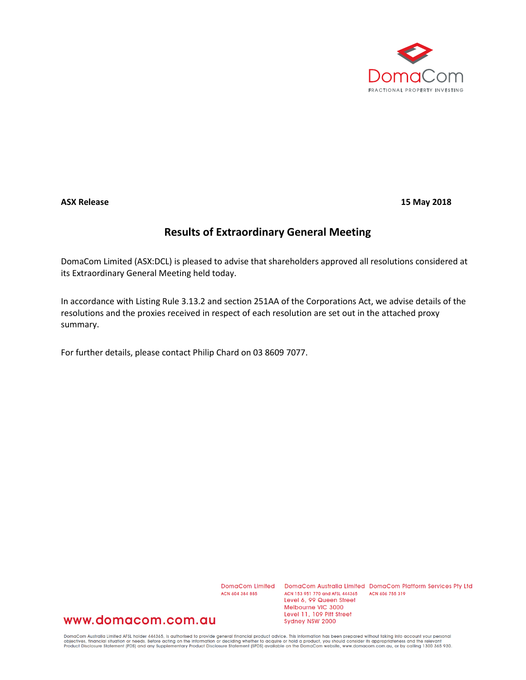

**ASX Release 15 May 2018**

## **Results of Extraordinary General Meeting**

DomaCom Limited (ASX:DCL) is pleased to advise that shareholders approved all resolutions considered at its Extraordinary General Meeting held today.

In accordance with Listing Rule 3.13.2 and section 251AA of the Corporations Act, we advise details of the resolutions and the proxies received in respect of each resolution are set out in the attached proxy summary.

For further details, please contact Philip Chard on 03 8609 7077.

ACN 604 384 885

DomaCom Limited DomaCom Australia Limited DomaCom Platform Services Pty Ltd ACN 153 951 770 and AFSL 444365 ACN 606 755 319 Level 6, 99 Queen Street Melbourne VIC 3000 Level 11, 109 Pitt Street Sydney NSW 2000

## www.domacom.com.au

DomaCom Australia Limited AFSL holder 444365, is authorised to provide general financial product advice. This information has been prepared without taking into account your personal<br>objectives, financial situation or needs